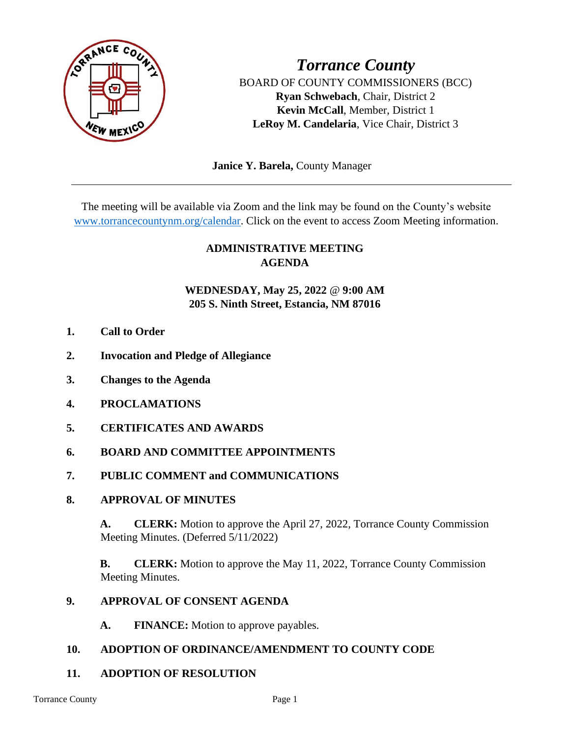

*Torrance County* BOARD OF COUNTY COMMISSIONERS (BCC) **Ryan Schwebach**, Chair, District 2 **Kevin McCall**, Member, District 1 **LeRoy M. Candelaria**, Vice Chair, District 3

 **Janice Y. Barela,** County Manager

The meeting will be available via Zoom and the link may be found on the County's website [www.torrancecountynm.org/calendar.](http://www.torrancecountynm.org/calendar) Click on the event to access Zoom Meeting information.

## **ADMINISTRATIVE MEETING AGENDA**

## **WEDNESDAY, May 25, 2022** @ **9:00 AM 205 S. Ninth Street, Estancia, NM 87016**

- **1. Call to Order**
- **2. Invocation and Pledge of Allegiance**
- **3. Changes to the Agenda**
- **4. PROCLAMATIONS**
- **5. CERTIFICATES AND AWARDS**
- **6. BOARD AND COMMITTEE APPOINTMENTS**
- **7. PUBLIC COMMENT and COMMUNICATIONS**
- **8. APPROVAL OF MINUTES**

**A. CLERK:** Motion to approve the April 27, 2022, Torrance County Commission Meeting Minutes. (Deferred 5/11/2022)

**B. CLERK:** Motion to approve the May 11, 2022, Torrance County Commission Meeting Minutes.

#### **9. APPROVAL OF CONSENT AGENDA**

**A. FINANCE:** Motion to approve payables.

### **10. ADOPTION OF ORDINANCE/AMENDMENT TO COUNTY CODE**

### **11. ADOPTION OF RESOLUTION**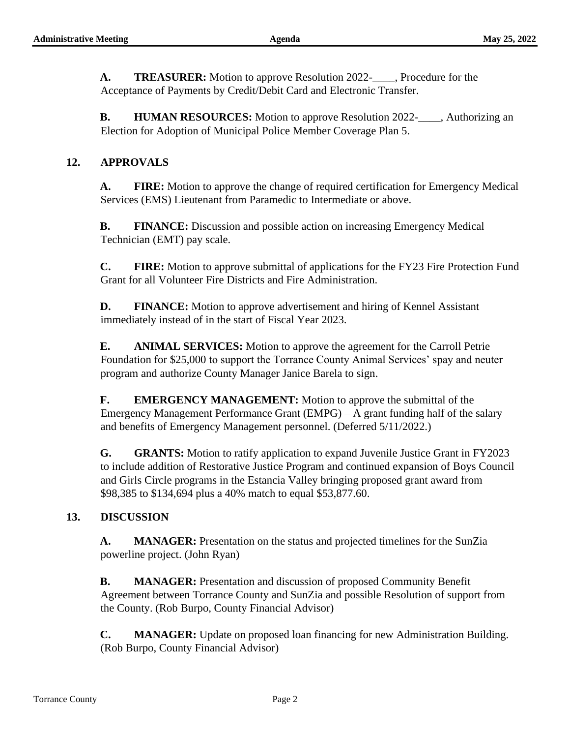**A. TREASURER:** Motion to approve Resolution 2022-\_\_\_\_, Procedure for the Acceptance of Payments by Credit/Debit Card and Electronic Transfer.

**B. HUMAN RESOURCES:** Motion to approve Resolution 2022-\_\_\_\_, Authorizing an Election for Adoption of Municipal Police Member Coverage Plan 5.

### **12. APPROVALS**

**A. FIRE:** Motion to approve the change of required certification for Emergency Medical Services (EMS) Lieutenant from Paramedic to Intermediate or above.

**B. FINANCE:** Discussion and possible action on increasing Emergency Medical Technician (EMT) pay scale.

**C. FIRE:** Motion to approve submittal of applications for the FY23 Fire Protection Fund Grant for all Volunteer Fire Districts and Fire Administration.

**D. FINANCE:** Motion to approve advertisement and hiring of Kennel Assistant immediately instead of in the start of Fiscal Year 2023.

**E. ANIMAL SERVICES:** Motion to approve the agreement for the Carroll Petrie Foundation for \$25,000 to support the Torrance County Animal Services' spay and neuter program and authorize County Manager Janice Barela to sign.

**F. EMERGENCY MANAGEMENT:** Motion to approve the submittal of the Emergency Management Performance Grant (EMPG) – A grant funding half of the salary and benefits of Emergency Management personnel. (Deferred 5/11/2022.)

**G. GRANTS:** Motion to ratify application to expand Juvenile Justice Grant in FY2023 to include addition of Restorative Justice Program and continued expansion of Boys Council and Girls Circle programs in the Estancia Valley bringing proposed grant award from \$98,385 to \$134,694 plus a 40% match to equal \$53,877.60.

### **13. DISCUSSION**

**A. MANAGER:** Presentation on the status and projected timelines for the SunZia powerline project. (John Ryan)

**B. MANAGER:** Presentation and discussion of proposed Community Benefit Agreement between Torrance County and SunZia and possible Resolution of support from the County. (Rob Burpo, County Financial Advisor)

**C. MANAGER:** Update on proposed loan financing for new Administration Building. (Rob Burpo, County Financial Advisor)